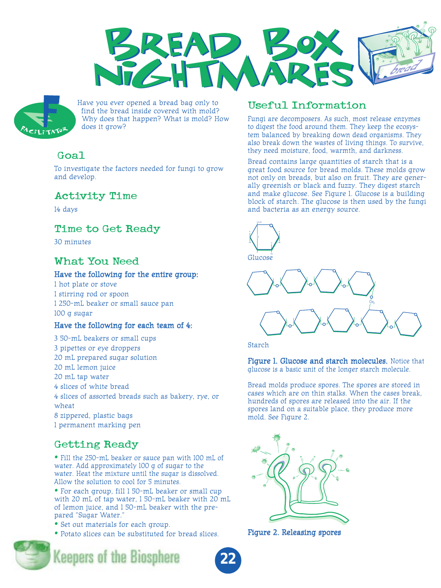



Have you ever opened a bread bag only to find the bread inside covered with mold? Why does that happen? What is mold? How does it grow?

# Goal

To investigate the factors needed for fungi to grow and develop.

## Activity Time

14 days

# Time to Get Ready

30 minutes

# What You Need

### Have the following for the entire group:

1 hot plate or stove 1 stirring rod or spoon 1 250-mL beaker or small sauce pan 100 g sugar

### Have the following for each team of 4:

3 50-mL beakers or small cups 3 pipettes or eye droppers 20 mL prepared sugar solution 20 mL lemon juice 20 mL tap water 4 slices of white bread 4 slices of assorted breads such as bakery, rye, or wheat 8 zippered, plastic bags 1 permanent marking pen

# Getting Ready

• Fill the 250-mL beaker or sauce pan with 100 mL of water. Add approximately 100 g of sugar to the water. Heat the mixture until the sugar is dissolved. Allow the solution to cool for 5 minutes.

• For each group, fill 1 50-mL beaker or small cup with 20 mL of tap water, 1 50-mL beaker with 20 mL of lemon juice, and 1 50-mL beaker with the prepared "Sugar Water."

- Set out materials for each group.
- Potato slices can be substituted for bread slices.



**Keepers of the Biosphere** 

# Useful Information

Fungi are decomposers. As such, most release enzymes to digest the food around them. They keep the ecosystem balanced by breaking down dead organisms. They also break down the wastes of living things. To survive, they need moisture, food, warmth, and darkness.

Bread contains large quantities of starch that is a great food source for bread molds. These molds grow not only on breads, but also on fruit. They are generally greenish or black and fuzzy. They digest starch and make glucose. See Figure 1. Glucose is a building block of starch. The glucose is then used by the fungi and bacteria as an energy source.



Starch

Figure 1. Glucose and starch molecules. Notice that glucose is a basic unit of the longer starch molecule.

Bread molds produce spores. The spores are stored in cases which are on thin stalks. When the cases break, hundreds of spores are released into the air. If the spores land on a suitable place, they produce more mold. See Figure 2.



Figure 2. Releasing spores

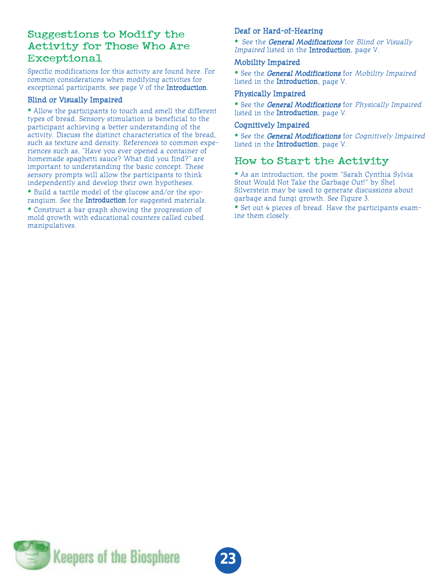## Suggestions to Modify the Activity for Those Who Are Exceptional

Specific modifications for this activity are found here. For common considerations when modifying activities for exceptional participants, see page V of the Introduction.

### Blind or Visually Impaired

• Allow the participants to touch and smell the different types of bread. Sensory stimulation is beneficial to the participant achieving a better understanding of the activity. Discuss the distinct characteristics of the bread, such as texture and density. References to common experiences such as, "Have you ever opened a container of homemade spaghetti sauce? What did you find?" are important to understanding the basic concept. These sensory prompts will allow the participants to think independently and develop their own hypotheses.

• Build a tactile model of the glucose and/or the sporangium. See the Introduction for suggested materials.

• Construct a bar graph showing the progression of mold growth with educational counters called cubed manipulatives.

### Deaf or Hard-of-Hearing

• See the General Modifications for Blind or Visually Impaired listed in the **Introduction**, page V.

#### Mobility Impaired

• See the General Modifications for Mobility Impaired listed in the Introduction, page V.

#### Physically Impaired

• See the General Modifications for Physically Impaired listed in the Introduction, page V.

#### Cognitively Impaired

• See the General Modifications for Cognitively Impaired listed in the Introduction, page V.

### How to Start the Activity

• As an introduction, the poem "Sarah Cynthia Sylvia Stout Would Not Take the Garbage Out!" by Shel Silverstein may be used to generate discussions about garbage and fungi growth. See Figure 3.

• Set out 4 pieces of bread. Have the participants examine them closely.

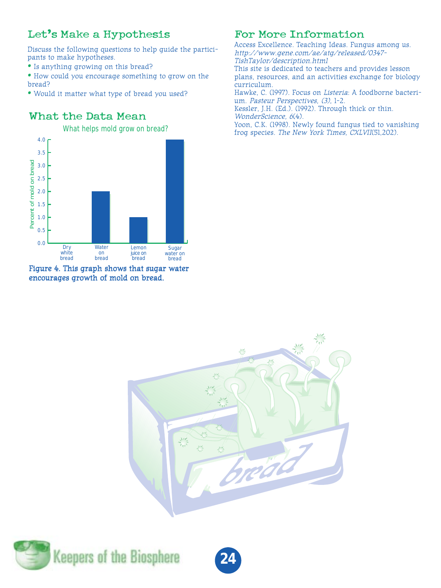# Let's Make a Hypothesis

Discuss the following questions to help guide the participants to make hypotheses.

- Is anything growing on this bread?
- How could you encourage something to grow on the bread?
- Would it matter what type of bread you used?

# What the Data Mean



#### Figure 4. This graph shows that sugar water encourages growth of mold on bread.

# For More Information

Access Excellence. Teaching Ideas. Fungus among us. http://www.gene.com/ae/atg/released/0347- TishTaylor/description.html This site is dedicated to teachers and provides lesson plans, resources, and an activities exchange for biology curriculum. Hawke, C. (1997). Focus on Listeria: A foodborne bacterium. Pasteur Perspectives, (3), 1-2. Kessler, J.H. (Ed.). (1992). Through thick or thin. WonderScience, 6(4). Yoon, C.K. (1998). Newly found fungus tied to vanishing frog species. The New York Times, CXLVII(51,202).